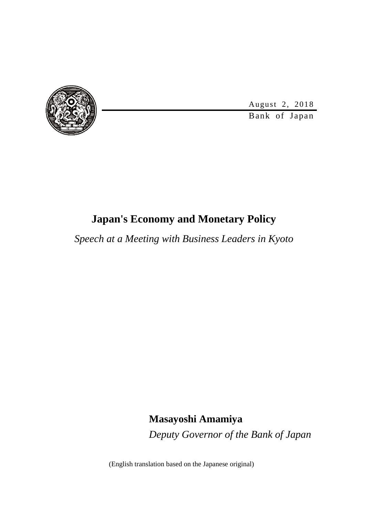

August 2, 2018

Bank of Japan

## **Japan's Economy and Monetary Policy**

*Speech at a Meeting with Business Leaders in Kyoto*

**Masayoshi Amamiya** *Deputy Governor of the Bank of Japan*

(English translation based on the Japanese original)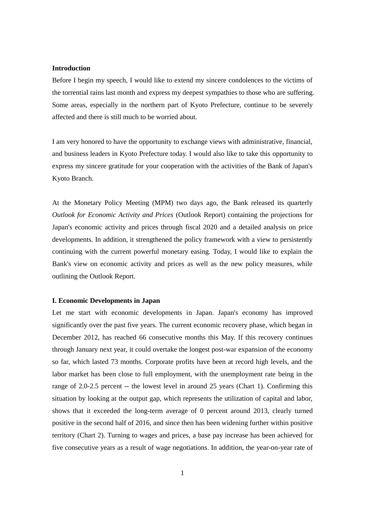#### **Introduction**

Before I begin my speech, I would like to extend my sincere condolences to the victims of the torrential rains last month and express my deepest sympathies to those who are suffering. Some areas, especially in the northern part of Kyoto Prefecture, continue to be severely affected and there is still much to be worried about.

I am very honored to have the opportunity to exchange views with administrative, financial, and business leaders in Kyoto Prefecture today. I would also like to take this opportunity to express my sincere gratitude for your cooperation with the activities of the Bank of Japan's Kyoto Branch.

At the Monetary Policy Meeting (MPM) two days ago, the Bank released its quarterly *Outlook for Economic Activity and Prices* (Outlook Report) containing the projections for Japan's economic activity and prices through fiscal 2020 and a detailed analysis on price developments. In addition, it strengthened the policy framework with a view to persistently continuing with the current powerful monetary easing. Today, I would like to explain the Bank's view on economic activity and prices as well as the new policy measures, while outlining the Outlook Report.

#### **I. Economic Developments in Japan**

Let me start with economic developments in Japan. Japan's economy has improved significantly over the past five years. The current economic recovery phase, which began in December 2012, has reached 66 consecutive months this May. If this recovery continues through January next year, it could overtake the longest post-war expansion of the economy so far, which lasted 73 months. Corporate profits have been at record high levels, and the labor market has been close to full employment, with the unemployment rate being in the range of 2.0-2.5 percent -- the lowest level in around 25 years (Chart 1). Confirming this situation by looking at the output gap, which represents the utilization of capital and labor, shows that it exceeded the long-term average of 0 percent around 2013, clearly turned positive in the second half of 2016, and since then has been widening further within positive territory (Chart 2). Turning to wages and prices, a base pay increase has been achieved for five consecutive years as a result of wage negotiations. In addition, the year-on-year rate of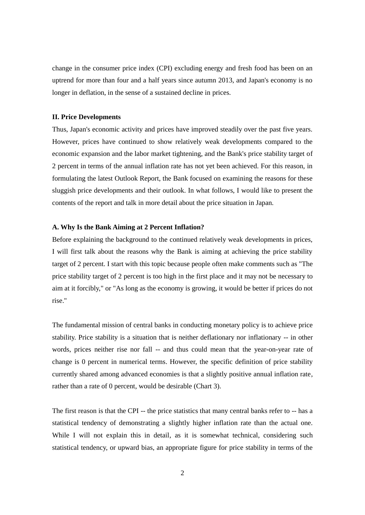change in the consumer price index (CPI) excluding energy and fresh food has been on an uptrend for more than four and a half years since autumn 2013, and Japan's economy is no longer in deflation, in the sense of a sustained decline in prices.

#### **II. Price Developments**

Thus, Japan's economic activity and prices have improved steadily over the past five years. However, prices have continued to show relatively weak developments compared to the economic expansion and the labor market tightening, and the Bank's price stability target of 2 percent in terms of the annual inflation rate has not yet been achieved. For this reason, in formulating the latest Outlook Report, the Bank focused on examining the reasons for these sluggish price developments and their outlook. In what follows, I would like to present the contents of the report and talk in more detail about the price situation in Japan.

#### **A. Why Is the Bank Aiming at 2 Percent Inflation?**

Before explaining the background to the continued relatively weak developments in prices, I will first talk about the reasons why the Bank is aiming at achieving the price stability target of 2 percent. I start with this topic because people often make comments such as "The price stability target of 2 percent is too high in the first place and it may not be necessary to aim at it forcibly," or "As long as the economy is growing, it would be better if prices do not rise."

The fundamental mission of central banks in conducting monetary policy is to achieve price stability. Price stability is a situation that is neither deflationary nor inflationary -- in other words, prices neither rise nor fall -- and thus could mean that the year-on-year rate of change is 0 percent in numerical terms. However, the specific definition of price stability currently shared among advanced economies is that a slightly positive annual inflation rate, rather than a rate of 0 percent, would be desirable (Chart 3).

The first reason is that the CPI -- the price statistics that many central banks refer to -- has a statistical tendency of demonstrating a slightly higher inflation rate than the actual one. While I will not explain this in detail, as it is somewhat technical, considering such statistical tendency, or upward bias, an appropriate figure for price stability in terms of the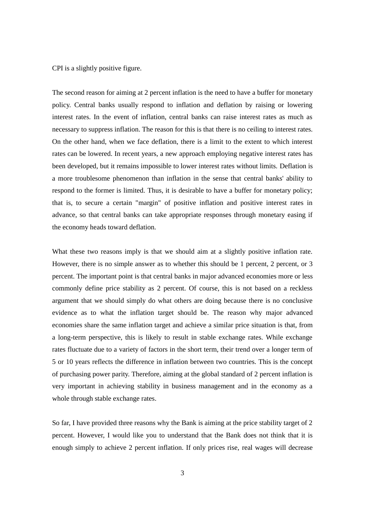CPI is a slightly positive figure.

The second reason for aiming at 2 percent inflation is the need to have a buffer for monetary policy. Central banks usually respond to inflation and deflation by raising or lowering interest rates. In the event of inflation, central banks can raise interest rates as much as necessary to suppress inflation. The reason for this is that there is no ceiling to interest rates. On the other hand, when we face deflation, there is a limit to the extent to which interest rates can be lowered. In recent years, a new approach employing negative interest rates has been developed, but it remains impossible to lower interest rates without limits. Deflation is a more troublesome phenomenon than inflation in the sense that central banks' ability to respond to the former is limited. Thus, it is desirable to have a buffer for monetary policy; that is, to secure a certain "margin" of positive inflation and positive interest rates in advance, so that central banks can take appropriate responses through monetary easing if the economy heads toward deflation.

What these two reasons imply is that we should aim at a slightly positive inflation rate. However, there is no simple answer as to whether this should be 1 percent, 2 percent, or 3 percent. The important point is that central banks in major advanced economies more or less commonly define price stability as 2 percent. Of course, this is not based on a reckless argument that we should simply do what others are doing because there is no conclusive evidence as to what the inflation target should be. The reason why major advanced economies share the same inflation target and achieve a similar price situation is that, from a long-term perspective, this is likely to result in stable exchange rates. While exchange rates fluctuate due to a variety of factors in the short term, their trend over a longer term of 5 or 10 years reflects the difference in inflation between two countries. This is the concept of purchasing power parity. Therefore, aiming at the global standard of 2 percent inflation is very important in achieving stability in business management and in the economy as a whole through stable exchange rates.

So far, I have provided three reasons why the Bank is aiming at the price stability target of 2 percent. However, I would like you to understand that the Bank does not think that it is enough simply to achieve 2 percent inflation. If only prices rise, real wages will decrease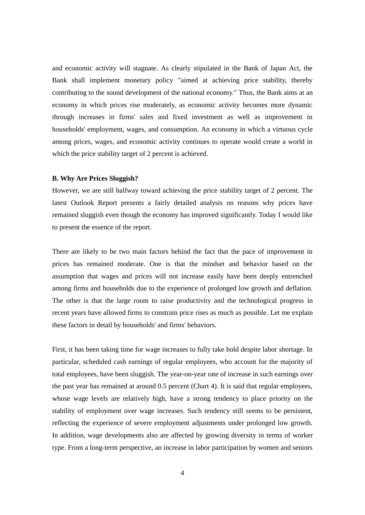and economic activity will stagnate. As clearly stipulated in the Bank of Japan Act, the Bank shall implement monetary policy "aimed at achieving price stability, thereby contributing to the sound development of the national economy." Thus, the Bank aims at an economy in which prices rise moderately, as economic activity becomes more dynamic through increases in firms' sales and fixed investment as well as improvement in households' employment, wages, and consumption. An economy in which a virtuous cycle among prices, wages, and economic activity continues to operate would create a world in which the price stability target of 2 percent is achieved.

#### **B. Why Are Prices Sluggish?**

However, we are still halfway toward achieving the price stability target of 2 percent. The latest Outlook Report presents a fairly detailed analysis on reasons why prices have remained sluggish even though the economy has improved significantly. Today I would like to present the essence of the report.

There are likely to be two main factors behind the fact that the pace of improvement in prices has remained moderate. One is that the mindset and behavior based on the assumption that wages and prices will not increase easily have been deeply entrenched among firms and households due to the experience of prolonged low growth and deflation. The other is that the large room to raise productivity and the technological progress in recent years have allowed firms to constrain price rises as much as possible. Let me explain these factors in detail by households' and firms' behaviors.

First, it has been taking time for wage increases to fully take hold despite labor shortage. In particular, scheduled cash earnings of regular employees, who account for the majority of total employees, have been sluggish. The year-on-year rate of increase in such earnings over the past year has remained at around 0.5 percent (Chart 4). It is said that regular employees, whose wage levels are relatively high, have a strong tendency to place priority on the stability of employment over wage increases. Such tendency still seems to be persistent, reflecting the experience of severe employment adjustments under prolonged low growth. In addition, wage developments also are affected by growing diversity in terms of worker type. From a long-term perspective, an increase in labor participation by women and seniors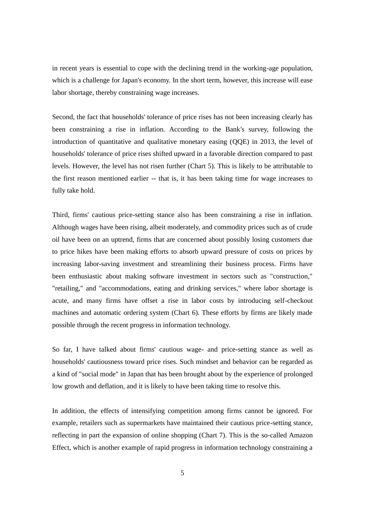in recent years is essential to cope with the declining trend in the working-age population, which is a challenge for Japan's economy. In the short term, however, this increase will ease labor shortage, thereby constraining wage increases.

Second, the fact that households' tolerance of price rises has not been increasing clearly has been constraining a rise in inflation. According to the Bank's survey, following the introduction of quantitative and qualitative monetary easing (QQE) in 2013, the level of households' tolerance of price rises shifted upward in a favorable direction compared to past levels. However, the level has not risen further (Chart 5). This is likely to be attributable to the first reason mentioned earlier -- that is, it has been taking time for wage increases to fully take hold.

Third, firms' cautious price-setting stance also has been constraining a rise in inflation. Although wages have been rising, albeit moderately, and commodity prices such as of crude oil have been on an uptrend, firms that are concerned about possibly losing customers due to price hikes have been making efforts to absorb upward pressure of costs on prices by increasing labor-saving investment and streamlining their business process. Firms have been enthusiastic about making software investment in sectors such as "construction," "retailing," and "accommodations, eating and drinking services," where labor shortage is acute, and many firms have offset a rise in labor costs by introducing self-checkout machines and automatic ordering system (Chart 6). These efforts by firms are likely made possible through the recent progress in information technology.

So far, I have talked about firms' cautious wage- and price-setting stance as well as households' cautiousness toward price rises. Such mindset and behavior can be regarded as a kind of "social mode" in Japan that has been brought about by the experience of prolonged low growth and deflation, and it is likely to have been taking time to resolve this.

In addition, the effects of intensifying competition among firms cannot be ignored. For example, retailers such as supermarkets have maintained their cautious price-setting stance, reflecting in part the expansion of online shopping (Chart 7). This is the so-called Amazon Effect, which is another example of rapid progress in information technology constraining a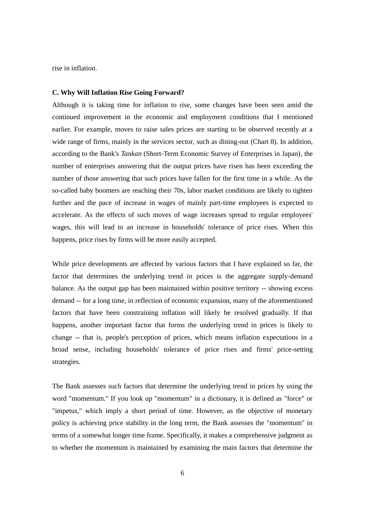rise in inflation.

#### **C. Why Will Inflation Rise Going Forward?**

Although it is taking time for inflation to rise, some changes have been seen amid the continued improvement in the economic and employment conditions that I mentioned earlier. For example, moves to raise sales prices are starting to be observed recently at a wide range of firms, mainly in the services sector, such as dining-out (Chart 8). In addition, according to the Bank's *Tankan* (Short-Term Economic Survey of Enterprises in Japan), the number of enterprises answering that the output prices have risen has been exceeding the number of those answering that such prices have fallen for the first time in a while. As the so-called baby boomers are reaching their 70s, labor market conditions are likely to tighten further and the pace of increase in wages of mainly part-time employees is expected to accelerate. As the effects of such moves of wage increases spread to regular employees' wages, this will lead to an increase in households' tolerance of price rises. When this happens, price rises by firms will be more easily accepted.

While price developments are affected by various factors that I have explained so far, the factor that determines the underlying trend in prices is the aggregate supply-demand balance. As the output gap has been maintained within positive territory -- showing excess demand -- for a long time, in reflection of economic expansion, many of the aforementioned factors that have been constraining inflation will likely be resolved gradually. If that happens, another important factor that forms the underlying trend in prices is likely to change -- that is, people's perception of prices, which means inflation expectations in a broad sense, including households' tolerance of price rises and firms' price-setting strategies.

The Bank assesses such factors that determine the underlying trend in prices by using the word "momentum." If you look up "momentum" in a dictionary, it is defined as "force" or "impetus," which imply a short period of time. However, as the objective of monetary policy is achieving price stability in the long term, the Bank assesses the "momentum" in terms of a somewhat longer time frame. Specifically, it makes a comprehensive judgment as to whether the momentum is maintained by examining the main factors that determine the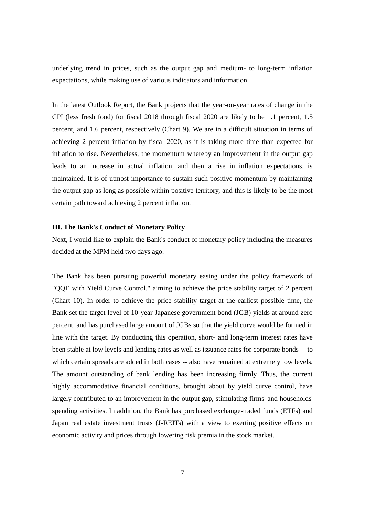underlying trend in prices, such as the output gap and medium- to long-term inflation expectations, while making use of various indicators and information.

In the latest Outlook Report, the Bank projects that the year-on-year rates of change in the CPI (less fresh food) for fiscal 2018 through fiscal 2020 are likely to be 1.1 percent, 1.5 percent, and 1.6 percent, respectively (Chart 9). We are in a difficult situation in terms of achieving 2 percent inflation by fiscal 2020, as it is taking more time than expected for inflation to rise. Nevertheless, the momentum whereby an improvement in the output gap leads to an increase in actual inflation, and then a rise in inflation expectations, is maintained. It is of utmost importance to sustain such positive momentum by maintaining the output gap as long as possible within positive territory, and this is likely to be the most certain path toward achieving 2 percent inflation.

#### **III. The Bank's Conduct of Monetary Policy**

Next, I would like to explain the Bank's conduct of monetary policy including the measures decided at the MPM held two days ago.

The Bank has been pursuing powerful monetary easing under the policy framework of "QQE with Yield Curve Control," aiming to achieve the price stability target of 2 percent (Chart 10). In order to achieve the price stability target at the earliest possible time, the Bank set the target level of 10-year Japanese government bond (JGB) yields at around zero percent, and has purchased large amount of JGBs so that the yield curve would be formed in line with the target. By conducting this operation, short- and long-term interest rates have been stable at low levels and lending rates as well as issuance rates for corporate bonds -- to which certain spreads are added in both cases -- also have remained at extremely low levels. The amount outstanding of bank lending has been increasing firmly. Thus, the current highly accommodative financial conditions, brought about by yield curve control, have largely contributed to an improvement in the output gap, stimulating firms' and households' spending activities. In addition, the Bank has purchased exchange-traded funds (ETFs) and Japan real estate investment trusts (J-REITs) with a view to exerting positive effects on economic activity and prices through lowering risk premia in the stock market.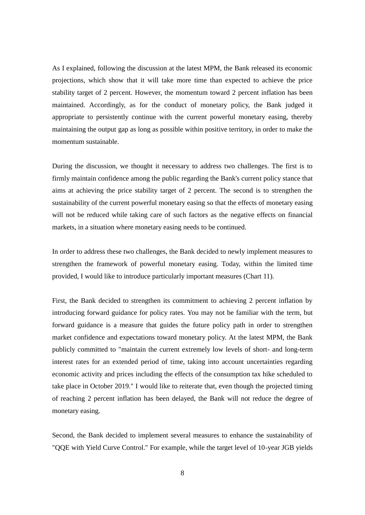As I explained, following the discussion at the latest MPM, the Bank released its economic projections, which show that it will take more time than expected to achieve the price stability target of 2 percent. However, the momentum toward 2 percent inflation has been maintained. Accordingly, as for the conduct of monetary policy, the Bank judged it appropriate to persistently continue with the current powerful monetary easing, thereby maintaining the output gap as long as possible within positive territory, in order to make the momentum sustainable.

During the discussion, we thought it necessary to address two challenges. The first is to firmly maintain confidence among the public regarding the Bank's current policy stance that aims at achieving the price stability target of 2 percent. The second is to strengthen the sustainability of the current powerful monetary easing so that the effects of monetary easing will not be reduced while taking care of such factors as the negative effects on financial markets, in a situation where monetary easing needs to be continued.

In order to address these two challenges, the Bank decided to newly implement measures to strengthen the framework of powerful monetary easing. Today, within the limited time provided, I would like to introduce particularly important measures (Chart 11).

First, the Bank decided to strengthen its commitment to achieving 2 percent inflation by introducing forward guidance for policy rates. You may not be familiar with the term, but forward guidance is a measure that guides the future policy path in order to strengthen market confidence and expectations toward monetary policy. At the latest MPM, the Bank publicly committed to "maintain the current extremely low levels of short- and long-term interest rates for an extended period of time, taking into account uncertainties regarding economic activity and prices including the effects of the consumption tax hike scheduled to take place in October 2019." I would like to reiterate that, even though the projected timing of reaching 2 percent inflation has been delayed, the Bank will not reduce the degree of monetary easing.

Second, the Bank decided to implement several measures to enhance the sustainability of "QQE with Yield Curve Control." For example, while the target level of 10-year JGB yields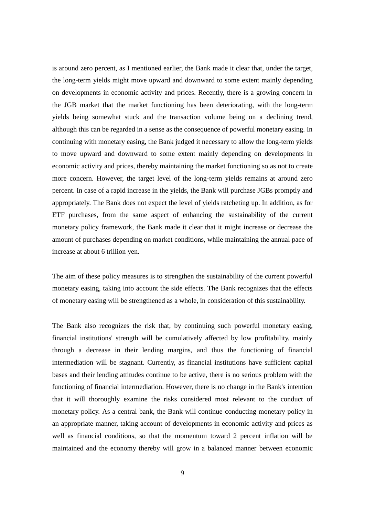is around zero percent, as I mentioned earlier, the Bank made it clear that, under the target, the long-term yields might move upward and downward to some extent mainly depending on developments in economic activity and prices. Recently, there is a growing concern in the JGB market that the market functioning has been deteriorating, with the long-term yields being somewhat stuck and the transaction volume being on a declining trend, although this can be regarded in a sense as the consequence of powerful monetary easing. In continuing with monetary easing, the Bank judged it necessary to allow the long-term yields to move upward and downward to some extent mainly depending on developments in economic activity and prices, thereby maintaining the market functioning so as not to create more concern. However, the target level of the long-term yields remains at around zero percent. In case of a rapid increase in the yields, the Bank will purchase JGBs promptly and appropriately. The Bank does not expect the level of yields ratcheting up. In addition, as for ETF purchases, from the same aspect of enhancing the sustainability of the current monetary policy framework, the Bank made it clear that it might increase or decrease the amount of purchases depending on market conditions, while maintaining the annual pace of increase at about 6 trillion yen.

The aim of these policy measures is to strengthen the sustainability of the current powerful monetary easing, taking into account the side effects. The Bank recognizes that the effects of monetary easing will be strengthened as a whole, in consideration of this sustainability.

The Bank also recognizes the risk that, by continuing such powerful monetary easing, financial institutions' strength will be cumulatively affected by low profitability, mainly through a decrease in their lending margins, and thus the functioning of financial intermediation will be stagnant. Currently, as financial institutions have sufficient capital bases and their lending attitudes continue to be active, there is no serious problem with the functioning of financial intermediation. However, there is no change in the Bank's intention that it will thoroughly examine the risks considered most relevant to the conduct of monetary policy. As a central bank, the Bank will continue conducting monetary policy in an appropriate manner, taking account of developments in economic activity and prices as well as financial conditions, so that the momentum toward 2 percent inflation will be maintained and the economy thereby will grow in a balanced manner between economic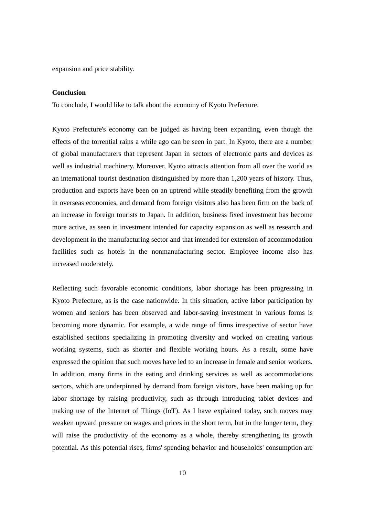expansion and price stability.

#### **Conclusion**

To conclude, I would like to talk about the economy of Kyoto Prefecture.

Kyoto Prefecture's economy can be judged as having been expanding, even though the effects of the torrential rains a while ago can be seen in part. In Kyoto, there are a number of global manufacturers that represent Japan in sectors of electronic parts and devices as well as industrial machinery. Moreover, Kyoto attracts attention from all over the world as an international tourist destination distinguished by more than 1,200 years of history. Thus, production and exports have been on an uptrend while steadily benefiting from the growth in overseas economies, and demand from foreign visitors also has been firm on the back of an increase in foreign tourists to Japan. In addition, business fixed investment has become more active, as seen in investment intended for capacity expansion as well as research and development in the manufacturing sector and that intended for extension of accommodation facilities such as hotels in the nonmanufacturing sector. Employee income also has increased moderately.

Reflecting such favorable economic conditions, labor shortage has been progressing in Kyoto Prefecture, as is the case nationwide. In this situation, active labor participation by women and seniors has been observed and labor-saving investment in various forms is becoming more dynamic. For example, a wide range of firms irrespective of sector have established sections specializing in promoting diversity and worked on creating various working systems, such as shorter and flexible working hours. As a result, some have expressed the opinion that such moves have led to an increase in female and senior workers. In addition, many firms in the eating and drinking services as well as accommodations sectors, which are underpinned by demand from foreign visitors, have been making up for labor shortage by raising productivity, such as through introducing tablet devices and making use of the Internet of Things (IoT). As I have explained today, such moves may weaken upward pressure on wages and prices in the short term, but in the longer term, they will raise the productivity of the economy as a whole, thereby strengthening its growth potential. As this potential rises, firms' spending behavior and households' consumption are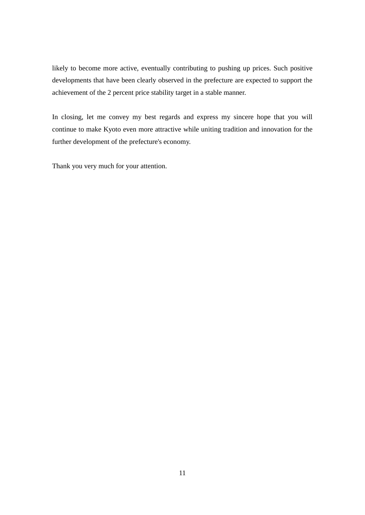likely to become more active, eventually contributing to pushing up prices. Such positive developments that have been clearly observed in the prefecture are expected to support the achievement of the 2 percent price stability target in a stable manner.

In closing, let me convey my best regards and express my sincere hope that you will continue to make Kyoto even more attractive while uniting tradition and innovation for the further development of the prefecture's economy.

Thank you very much for your attention.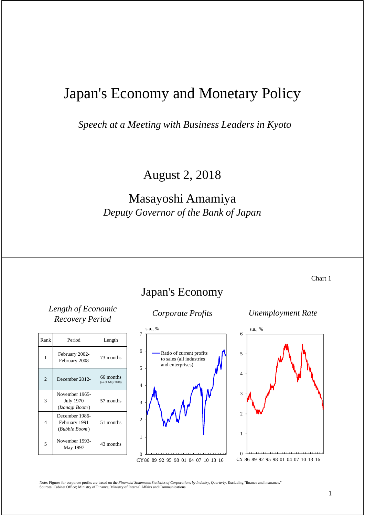# Japan's Economy and Monetary Policy

*Speech at a Meeting with Business Leaders in Kyoto*

August 2, 2018

### Masayoshi Amamiya *Deputy Governor of the Bank of Japan*

Chart 1

### *Length of Economic Recovery Period Corporate Profits Unemployment Rate*

| Rank           | Period                                               | Length                        |
|----------------|------------------------------------------------------|-------------------------------|
| 1              | February 2002-<br>February 2008                      | 73 months                     |
| $\overline{2}$ | December 2012-                                       | 66 months<br>(as of May 2018) |
| 3              | November 1965-<br><b>July 1970</b><br>(Izanagi Boom) | 57 months                     |
| 4              | December 1986-<br>February 1991<br>(Bubble Boom)     | 51 months                     |
| 5              | November 1993-<br>May 1997                           | 43 months                     |

### Japan's Economy

### $\theta$ 1  $\overline{2}$ 3 4 5 6 7 CY 86 89 92 95 98 01 04 07 10 13 16 Ratio of current profits to sales (all industries and enterprises)  $s$ .  $\alpha$



Note: Figures for corporate profits are based on the *Financial Statements Statistics of Corporations by Industry, Quarterly*. Excluding "finance and insurance." Sources: Cabinet Office; Ministry of Finance; Ministry of Internal Affairs and Communications.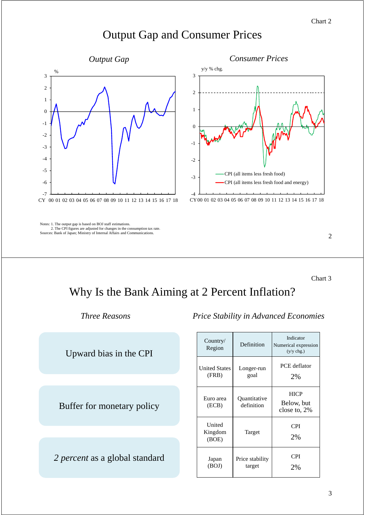#### Chart 2

# Output Gap and Consumer Prices



Notes: 1. The output gap is based on BOJ staff estimations. Notes: 2. The CPI figures are adjusted for changes in the consumption tax rate. Sources: Bank of Japan; Ministry of Internal Affairs and Communications.



2

Chart 3

# Why Is the Bank Aiming at 2 Percent Inflation?

Upward bias in the CPI

Buffer for monetary policy

*2 percent* as a global standard

*Three Reasons Price Stability in Advanced Economies*

| Country/<br>Region            | Definition                 | Indicator<br>Numerical expression<br>$(y/y \, chg.)$ |
|-------------------------------|----------------------------|------------------------------------------------------|
| <b>United States</b><br>(FRB) | Longer-run<br>goal         | PCE deflator<br>2%                                   |
| Euro area<br>(ECB)            | Quantitative<br>definition | <b>HICP</b><br>Below, but<br>close to, 2%            |
| United<br>Kingdom<br>(BOE)    | Target                     | CPI<br>2%                                            |
| Japan<br>(BOJ)                | Price stability<br>target  | CPI<br>2%                                            |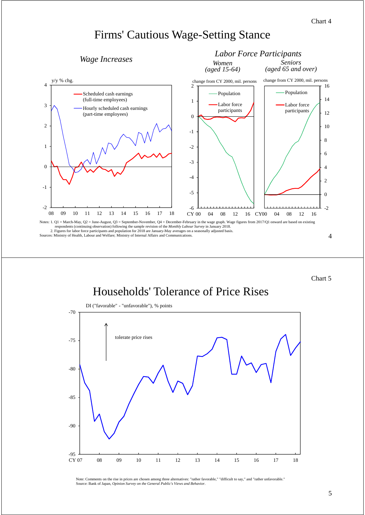*Labor Force Participants*

### Firms' Cautious Wage-Setting Stance

### *Wage Increases*



Chart 5

## Households' Tolerance of Price Rises



Note: Comments on the rise in prices are chosen among three alternatives: "rather favorable," "difficult to say," and "rather unfavorable." Source: Bank of Japan, *Opinion Survey on the General Public's Views and Behavior*.

#### 5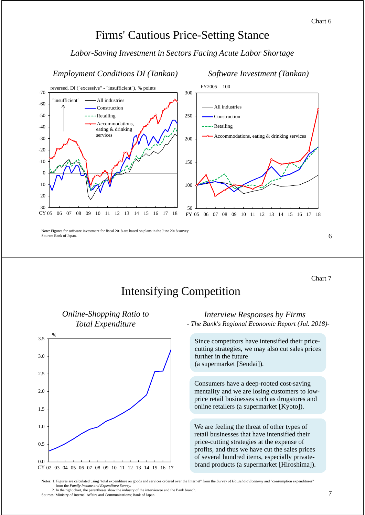### Firms' Cautious Price-Setting Stance

### *Labor-Saving Investment in Sectors Facing Acute Labor Shortage*

*Employment Conditions DI (Tankan) Software Investment (Tankan)*



Note: Figures for software investment for fiscal 2018 are based on plans in the June 2018 survey. Source: Bank of Japan.

Chart 7

# Intensifying Competition



*Online-Shopping Ratio to* 

#### *Interview Responses by Firms - The Bank's Regional Economic Report (Jul. 2018)-*

Since competitors have intensified their pricecutting strategies, we may also cut sales prices further in the future (a supermarket [Sendai]).

Consumers have a deep-rooted cost-saving mentality and we are losing customers to lowprice retail businesses such as drugstores and online retailers (a supermarket [Kyoto]).

We are feeling the threat of other types of retail businesses that have intensified their price-cutting strategies at the expense of profits, and thus we have cut the sales prices of several hundred items, especially private-

Notes: 1. Figures are calculated using "total expenditure on goods and services ordered over the Internet" from the *Survey of Household Economy* and "consumption expenditures" from the *Family Income and Expenditure Survey*.

2. In the right chart, the parentheses show the industry of the interviewee and the Bank branch. Sources: Ministry of Internal Affairs and Communications; Bank of Japan.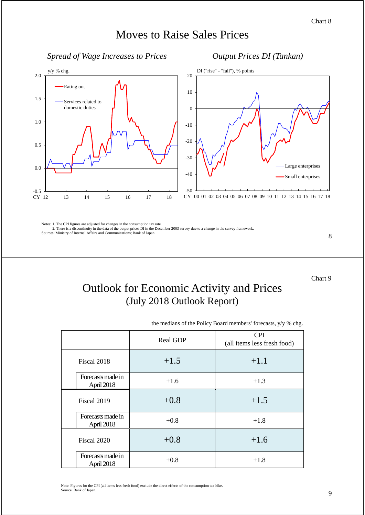# Moves to Raise Sales Prices

### *Spread of Wage Increases to Prices Output Prices DI (Tankan)*



Notes: 1. The CPI figures are adjusted for changes in the consumption tax rate. Notes: 2. There is a discontinuity in the data of the output prices DI in the December 2003 survey due to a change in the survey framework.

Sources: Ministry of Internal Affairs and Communications; Bank of Japan.

8

Chart 9

## Outlook for Economic Activity and Prices (July 2018 Outlook Report)

the medians of the Policy Board members' forecasts, y/y % chg.

|                                 | Real GDP | <b>CPI</b><br>(all items less fresh food) |
|---------------------------------|----------|-------------------------------------------|
| Fiscal 2018                     | $+1.5$   | $+1.1$                                    |
| Forecasts made in<br>April 2018 | $+1.6$   | $+1.3$                                    |
| Fiscal 2019                     | $+0.8$   | $+1.5$                                    |
| Forecasts made in<br>April 2018 | $+0.8$   | $+1.8$                                    |
| Fiscal 2020                     | $+0.8$   | $+1.6$                                    |
| Forecasts made in<br>April 2018 | $+0.8$   | $+1.8$                                    |

Note: Figures for the CPI (all items less fresh food) exclude the direct effects of the consumption tax hike. Source: Bank of Japan.